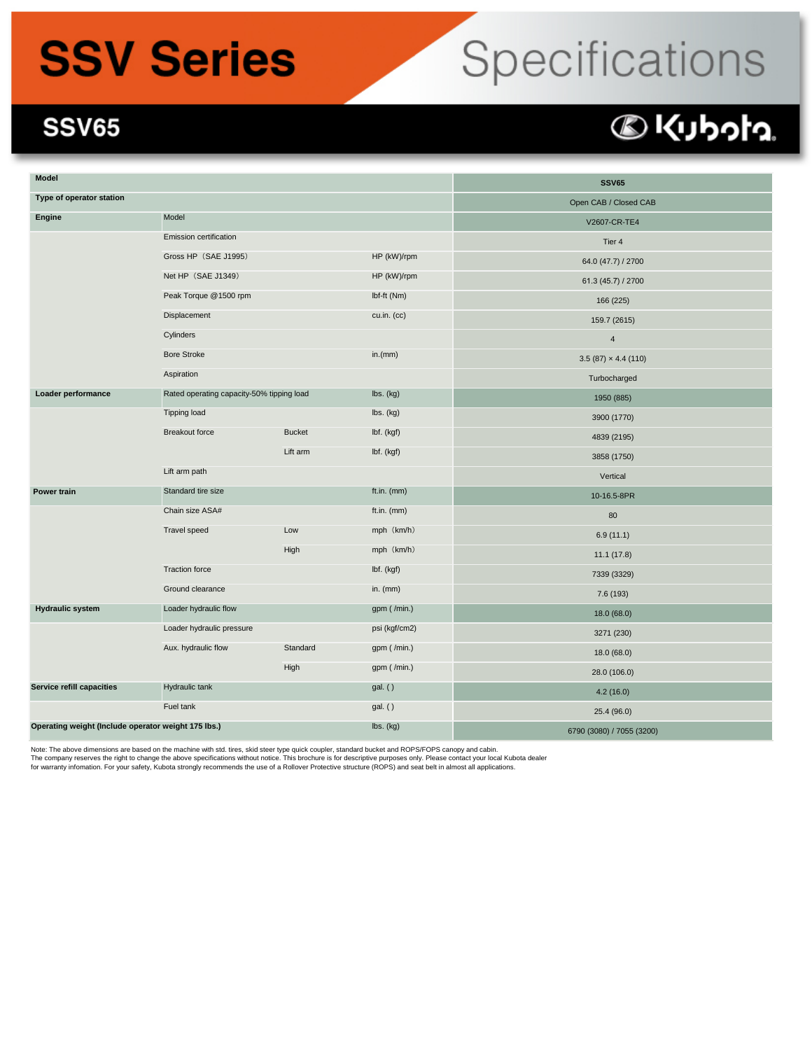## **SSV Series**

# Specifications

#### **SSV65**

### **DKUbota**

| Model                                               |                                           | <b>SSV65</b>          |                                         |                           |
|-----------------------------------------------------|-------------------------------------------|-----------------------|-----------------------------------------|---------------------------|
| Type of operator station                            |                                           | Open CAB / Closed CAB |                                         |                           |
| Engine                                              | Model                                     |                       |                                         | V2607-CR-TE4              |
|                                                     | Emission certification                    |                       |                                         | Tier 4                    |
|                                                     | Gross HP (SAE J1995)                      |                       | HP (kW)/rpm                             | 64.0 (47.7) / 2700        |
|                                                     | Net HP (SAE J1349)                        |                       | HP (kW)/rpm                             | 61.3 (45.7) / 2700        |
|                                                     | Peak Torque @1500 rpm                     |                       | Ibf-ft (Nm)                             | 166 (225)                 |
|                                                     | Displacement                              |                       | cu.in. (cc)                             | 159.7 (2615)              |
|                                                     | Cylinders                                 |                       |                                         | $\overline{4}$            |
|                                                     | <b>Bore Stroke</b>                        |                       | in.(mm)                                 | $3.5(87) \times 4.4(110)$ |
|                                                     | Aspiration                                |                       |                                         | Turbocharged              |
| Loader performance                                  | Rated operating capacity-50% tipping load |                       | lbs. (kg)                               | 1950 (885)                |
|                                                     | Tipping load                              |                       | $\mathsf{lbs.}\left(\mathsf{kg}\right)$ | 3900 (1770)               |
|                                                     | <b>Breakout force</b>                     | <b>Bucket</b>         | lbf. (kgf)                              | 4839 (2195)               |
|                                                     |                                           | Lift arm              | lbf. (kgf)                              | 3858 (1750)               |
|                                                     | Lift arm path                             |                       |                                         | Vertical                  |
| Power train                                         | Standard tire size                        |                       | ft.in. (mm)                             | 10-16.5-8PR               |
|                                                     | Chain size ASA#                           |                       | ft.in. (mm)                             | 80                        |
|                                                     | Travel speed                              | Low                   | mph (km/h)                              | 6.9(11.1)                 |
|                                                     |                                           | High                  | mph (km/h)                              | 11.1(17.8)                |
|                                                     | Traction force                            |                       | lbf. (kgf)                              | 7339 (3329)               |
|                                                     | Ground clearance                          |                       | in. $(mm)$                              | 7.6 (193)                 |
| <b>Hydraulic system</b>                             | Loader hydraulic flow                     |                       | gpm (/min.)                             | 18.0 (68.0)               |
|                                                     | Loader hydraulic pressure                 |                       | psi (kgf/cm2)                           | 3271 (230)                |
|                                                     | Aux. hydraulic flow                       | Standard              | gpm (/min.)                             | 18.0 (68.0)               |
|                                                     |                                           | High                  | gpm (/min.)                             | 28.0 (106.0)              |
| Service refill capacities                           | Hydraulic tank                            |                       | gal. ()                                 | 4.2(16.0)                 |
| Fuel tank                                           |                                           |                       | gal. ()                                 | 25.4 (96.0)               |
| Operating weight (Include operator weight 175 lbs.) |                                           |                       | lbs. (kg)                               | 6790 (3080) / 7055 (3200) |

Note: The above dimensions are based on the machine with std. tires, skid steer type quick coupler, standard bucket and ROPS/FOPS canopy and cabin.

The company reserves the right to change the above specifications without notice. This brochure is for descriptive purposes only. Please contact your local Kubota dealer<br>for warranty infomation. For your safety, Kubota str